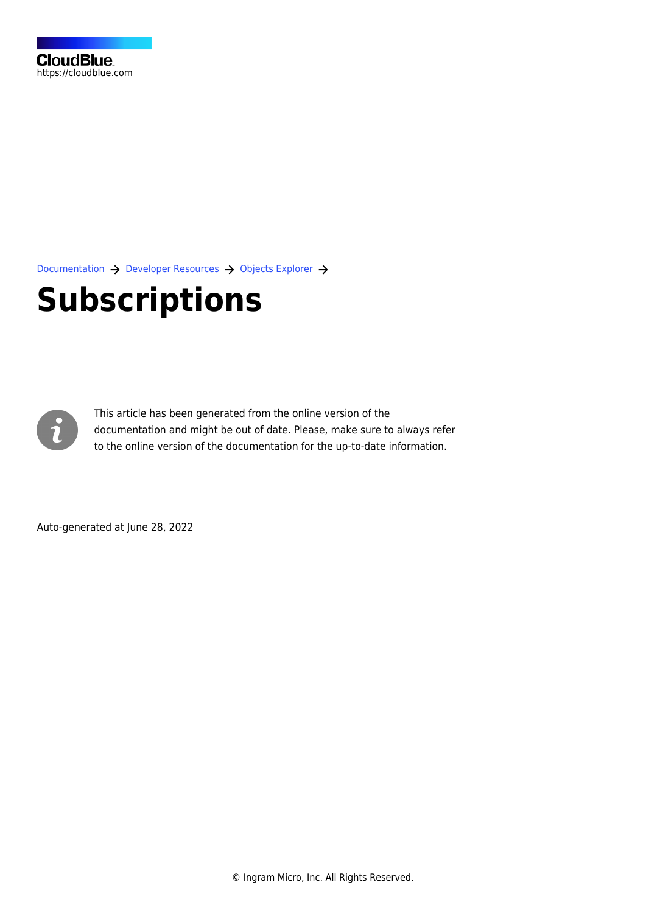

[Documentation](https://connect.cloudblue.com/documentation)  $\rightarrow$  [Developer Resources](https://connect.cloudblue.com/community/developers/)  $\rightarrow$  [Objects Explorer](https://connect.cloudblue.com/community/developers/objects/)  $\rightarrow$ 

# **[Subscriptions](https://connect.cloudblue.com/community/developers/objects/subscriptions/)**



This article has been generated from the online version of the documentation and might be out of date. Please, make sure to always refer to the online version of the documentation for the up-to-date information.

Auto-generated at June 28, 2022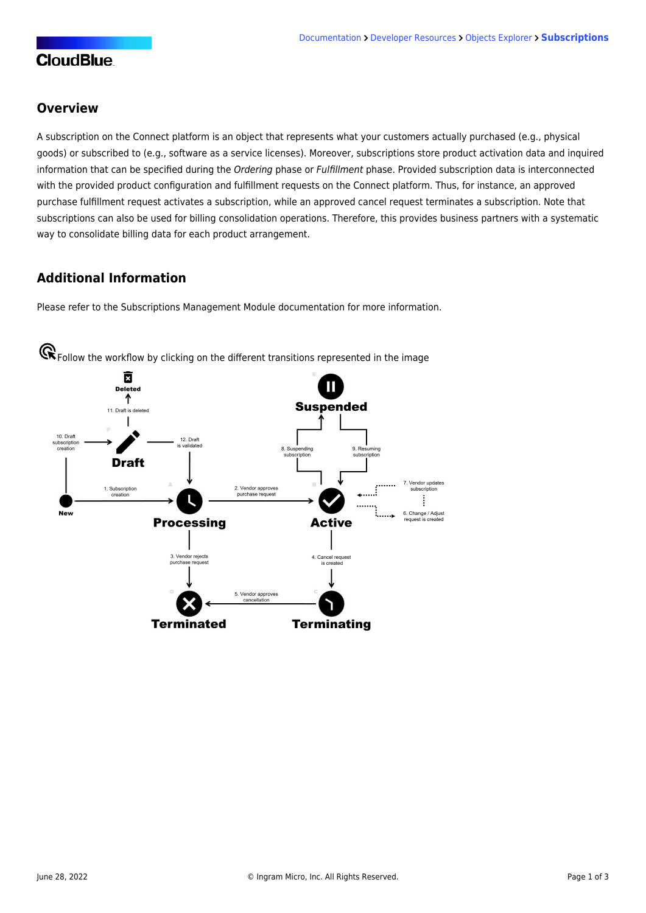#### **Overview**

A subscription on the Connect platform is an object that represents what your customers actually purchased (e.g., physical goods) or subscribed to (e.g., software as a service licenses). Moreover, subscriptions store product activation data and inquired information that can be specified during the Ordering phase or Fulfillment phase. Provided subscription data is interconnected with the provided product configuration and fulfillment requests on the Connect platform. Thus, for instance, an approved purchase fulfillment request activates a subscription, while an approved cancel request terminates a subscription. Note that subscriptions can also be used for billing consolidation operations. Therefore, this provides business partners with a systematic way to consolidate billing data for each product arrangement.

### **Additional Information**

Please refer to the [Subscriptions Management Module](https://connect.cloudblue.com/community/modules/subscriptions/) documentation for more information.



Follow the workflow by clicking on the different transitions represented in the image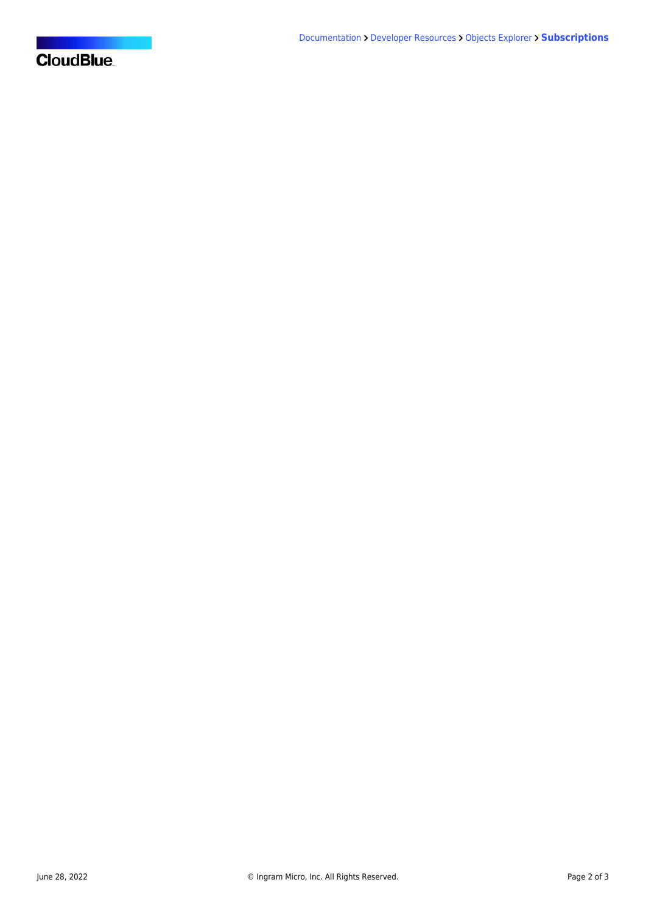## **CloudBlue**